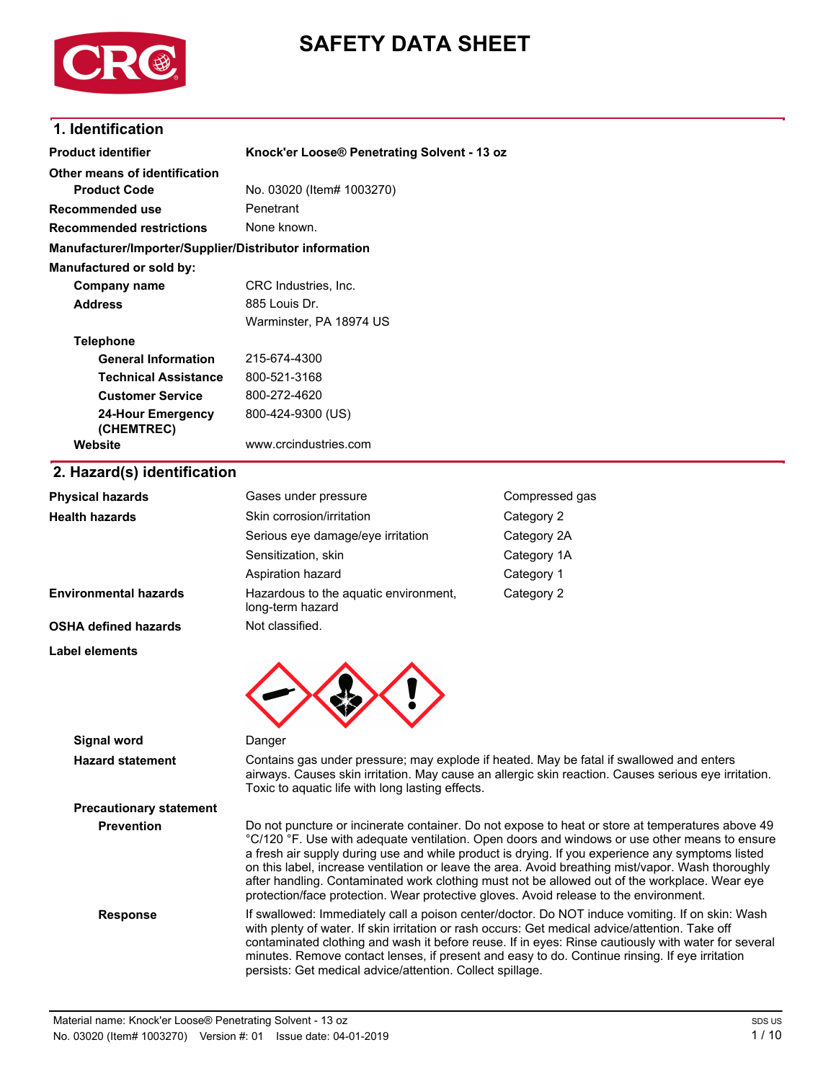



## **1. Identification**

| <b>Product identifier</b>                              | Knock'er Loose® Penetrating Solvent - 13 oz                                                                                                                                                                                                                                                           |                                                                                                                                                                                                  |  |
|--------------------------------------------------------|-------------------------------------------------------------------------------------------------------------------------------------------------------------------------------------------------------------------------------------------------------------------------------------------------------|--------------------------------------------------------------------------------------------------------------------------------------------------------------------------------------------------|--|
| Other means of identification                          |                                                                                                                                                                                                                                                                                                       |                                                                                                                                                                                                  |  |
| <b>Product Code</b>                                    | No. 03020 (Item# 1003270)                                                                                                                                                                                                                                                                             |                                                                                                                                                                                                  |  |
| <b>Recommended use</b>                                 | Penetrant                                                                                                                                                                                                                                                                                             |                                                                                                                                                                                                  |  |
| <b>Recommended restrictions</b>                        | None known.                                                                                                                                                                                                                                                                                           |                                                                                                                                                                                                  |  |
| Manufacturer/Importer/Supplier/Distributor information |                                                                                                                                                                                                                                                                                                       |                                                                                                                                                                                                  |  |
| Manufactured or sold by:                               |                                                                                                                                                                                                                                                                                                       |                                                                                                                                                                                                  |  |
| <b>Company name</b>                                    | CRC Industries, Inc.                                                                                                                                                                                                                                                                                  |                                                                                                                                                                                                  |  |
| <b>Address</b>                                         | 885 Louis Dr.                                                                                                                                                                                                                                                                                         |                                                                                                                                                                                                  |  |
|                                                        | Warminster, PA 18974 US                                                                                                                                                                                                                                                                               |                                                                                                                                                                                                  |  |
| <b>Telephone</b>                                       |                                                                                                                                                                                                                                                                                                       |                                                                                                                                                                                                  |  |
| <b>General Information</b>                             | 215-674-4300                                                                                                                                                                                                                                                                                          |                                                                                                                                                                                                  |  |
| <b>Technical Assistance</b>                            | 800-521-3168                                                                                                                                                                                                                                                                                          |                                                                                                                                                                                                  |  |
| <b>Customer Service</b>                                | 800-272-4620                                                                                                                                                                                                                                                                                          |                                                                                                                                                                                                  |  |
| <b>24-Hour Emergency</b><br>(CHEMTREC)                 | 800-424-9300 (US)                                                                                                                                                                                                                                                                                     |                                                                                                                                                                                                  |  |
| Website                                                | www.crcindustries.com                                                                                                                                                                                                                                                                                 |                                                                                                                                                                                                  |  |
| 2. Hazard(s) identification                            |                                                                                                                                                                                                                                                                                                       |                                                                                                                                                                                                  |  |
| <b>Physical hazards</b>                                | Gases under pressure                                                                                                                                                                                                                                                                                  | Compressed gas                                                                                                                                                                                   |  |
| <b>Health hazards</b>                                  | Skin corrosion/irritation                                                                                                                                                                                                                                                                             | Category 2                                                                                                                                                                                       |  |
|                                                        | Serious eye damage/eye irritation                                                                                                                                                                                                                                                                     | Category 2A                                                                                                                                                                                      |  |
|                                                        | Sensitization, skin                                                                                                                                                                                                                                                                                   | Category 1A                                                                                                                                                                                      |  |
|                                                        | Aspiration hazard                                                                                                                                                                                                                                                                                     | Category 1                                                                                                                                                                                       |  |
| <b>Environmental hazards</b>                           | Hazardous to the aquatic environment,<br>long-term hazard                                                                                                                                                                                                                                             | Category 2                                                                                                                                                                                       |  |
| <b>OSHA defined hazards</b>                            | Not classified.                                                                                                                                                                                                                                                                                       |                                                                                                                                                                                                  |  |
| Label elements                                         |                                                                                                                                                                                                                                                                                                       |                                                                                                                                                                                                  |  |
|                                                        |                                                                                                                                                                                                                                                                                                       |                                                                                                                                                                                                  |  |
| <b>Signal word</b>                                     | Danger                                                                                                                                                                                                                                                                                                |                                                                                                                                                                                                  |  |
| <b>Hazard statement</b>                                | Toxic to aquatic life with long lasting effects.                                                                                                                                                                                                                                                      | Contains gas under pressure; may explode if heated. May be fatal if swallowed and enters<br>airways. Causes skin irritation. May cause an allergic skin reaction. Causes serious eye irritation. |  |
| <b>Precautionary statement</b>                         |                                                                                                                                                                                                                                                                                                       |                                                                                                                                                                                                  |  |
| <b>Prevention</b>                                      | Do not puncture or incinerate container. Do not expose to heat or store at temperatures above 49<br>°C/120 °F. Use with adequate ventilation. Open doors and windows or use other means to ensure<br>a fresh air supply during use and while product is drying. If you experience any symptoms listed |                                                                                                                                                                                                  |  |

on this label, increase ventilation or leave the area. Avoid breathing mist/vapor. Wash thoroughly after handling. Contaminated work clothing must not be allowed out of the workplace. Wear eye

protection/face protection. Wear protective gloves. Avoid release to the environment.

persists: Get medical advice/attention. Collect spillage.

with plenty of water. If skin irritation or rash occurs: Get medical advice/attention. Take off contaminated clothing and wash it before reuse. If in eyes: Rinse cautiously with water for several minutes. Remove contact lenses, if present and easy to do. Continue rinsing. If eye irritation

**Response** If swallowed: Immediately call a poison center/doctor. Do NOT induce vomiting. If on skin: Wash

Material name: Knock'er Loose® Penetrating Solvent - 13 oz No. 03020 (Item# 1003220) Version #: 01 Issue date: 04-01-2019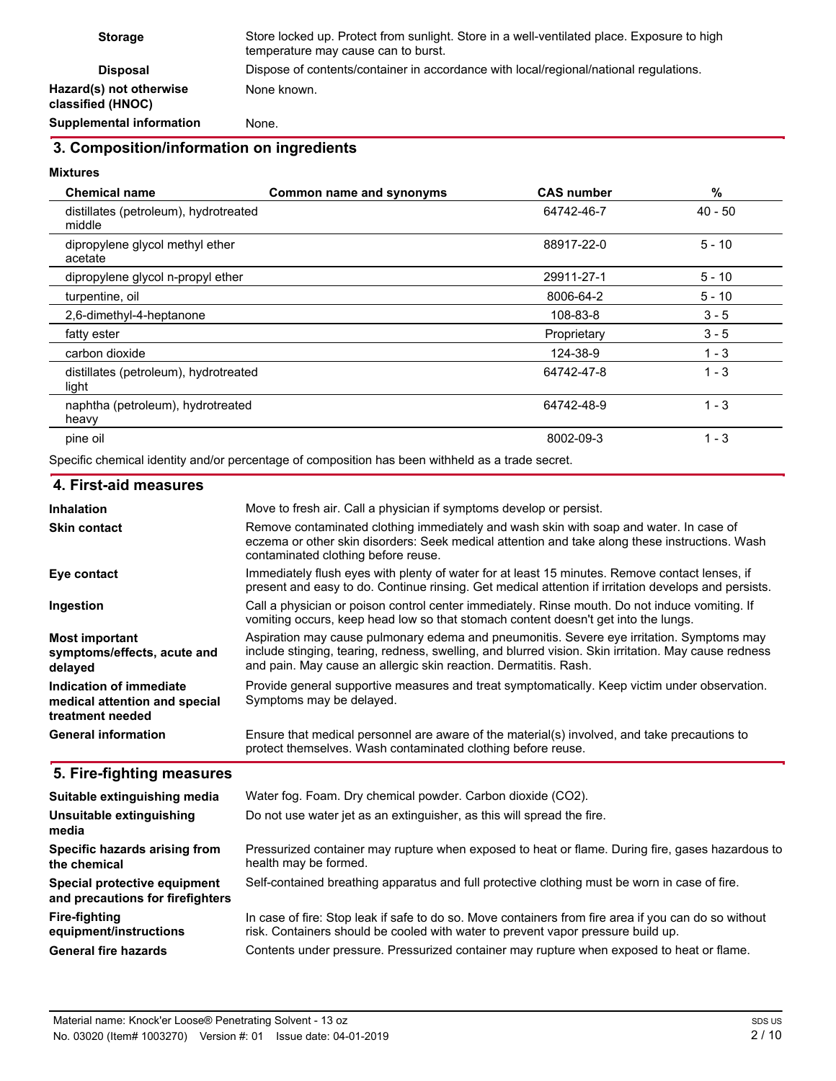| <b>Storage</b>                               | Store locked up. Protect from sunlight. Store in a well-ventilated place. Exposure to high<br>temperature may cause can to burst. |
|----------------------------------------------|-----------------------------------------------------------------------------------------------------------------------------------|
| <b>Disposal</b>                              | Dispose of contents/container in accordance with local/regional/national regulations.                                             |
| Hazard(s) not otherwise<br>classified (HNOC) | None known.                                                                                                                       |
| <b>Supplemental information</b>              | None.                                                                                                                             |

# **3. Composition/information on ingredients**

## **Mixtures**

| <b>Chemical name</b>                            | Common name and synonyms | <b>CAS number</b> | %         |
|-------------------------------------------------|--------------------------|-------------------|-----------|
| distillates (petroleum), hydrotreated<br>middle |                          | 64742-46-7        | $40 - 50$ |
| dipropylene glycol methyl ether<br>acetate      |                          | 88917-22-0        | $5 - 10$  |
| dipropylene glycol n-propyl ether               |                          | 29911-27-1        | $5 - 10$  |
| turpentine, oil                                 |                          | 8006-64-2         | $5 - 10$  |
| 2,6-dimethyl-4-heptanone                        |                          | 108-83-8          | $3 - 5$   |
| fatty ester                                     |                          | Proprietary       | $3 - 5$   |
| carbon dioxide                                  |                          | 124-38-9          | $1 - 3$   |
| distillates (petroleum), hydrotreated<br>light  |                          | 64742-47-8        | $1 - 3$   |
| naphtha (petroleum), hydrotreated<br>heavy      |                          | 64742-48-9        | $1 - 3$   |
| pine oil                                        |                          | 8002-09-3         | $1 - 3$   |

Specific chemical identity and/or percentage of composition has been withheld as a trade secret.

| 4. First-aid measures                                                        |                                                                                                                                                                                                                                                                       |
|------------------------------------------------------------------------------|-----------------------------------------------------------------------------------------------------------------------------------------------------------------------------------------------------------------------------------------------------------------------|
| <b>Inhalation</b>                                                            | Move to fresh air. Call a physician if symptoms develop or persist.                                                                                                                                                                                                   |
| <b>Skin contact</b>                                                          | Remove contaminated clothing immediately and wash skin with soap and water. In case of<br>eczema or other skin disorders: Seek medical attention and take along these instructions. Wash<br>contaminated clothing before reuse.                                       |
| Eye contact                                                                  | Immediately flush eyes with plenty of water for at least 15 minutes. Remove contact lenses, if<br>present and easy to do. Continue rinsing. Get medical attention if irritation develops and persists.                                                                |
| Ingestion                                                                    | Call a physician or poison control center immediately. Rinse mouth. Do not induce vomiting. If<br>vomiting occurs, keep head low so that stomach content doesn't get into the lungs.                                                                                  |
| <b>Most important</b><br>symptoms/effects, acute and<br>delayed              | Aspiration may cause pulmonary edema and pneumonitis. Severe eye irritation. Symptoms may<br>include stinging, tearing, redness, swelling, and blurred vision. Skin irritation. May cause redness<br>and pain. May cause an allergic skin reaction. Dermatitis. Rash. |
| Indication of immediate<br>medical attention and special<br>treatment needed | Provide general supportive measures and treat symptomatically. Keep victim under observation.<br>Symptoms may be delayed.                                                                                                                                             |
| <b>General information</b>                                                   | Ensure that medical personnel are aware of the material(s) involved, and take precautions to<br>protect themselves. Wash contaminated clothing before reuse.                                                                                                          |

## **5. Fire-fighting measures**

| Suitable extinguishing media                                     | Water fog. Foam. Dry chemical powder. Carbon dioxide (CO2).                                                                                                                              |
|------------------------------------------------------------------|------------------------------------------------------------------------------------------------------------------------------------------------------------------------------------------|
| Unsuitable extinguishing<br>media                                | Do not use water jet as an extinguisher, as this will spread the fire.                                                                                                                   |
| Specific hazards arising from<br>the chemical                    | Pressurized container may rupture when exposed to heat or flame. During fire, gases hazardous to<br>health may be formed.                                                                |
| Special protective equipment<br>and precautions for firefighters | Self-contained breathing apparatus and full protective clothing must be worn in case of fire.                                                                                            |
| Fire-fighting<br>equipment/instructions                          | In case of fire: Stop leak if safe to do so. Move containers from fire area if you can do so without<br>risk. Containers should be cooled with water to prevent vapor pressure build up. |
| <b>General fire hazards</b>                                      | Contents under pressure. Pressurized container may rupture when exposed to heat or flame.                                                                                                |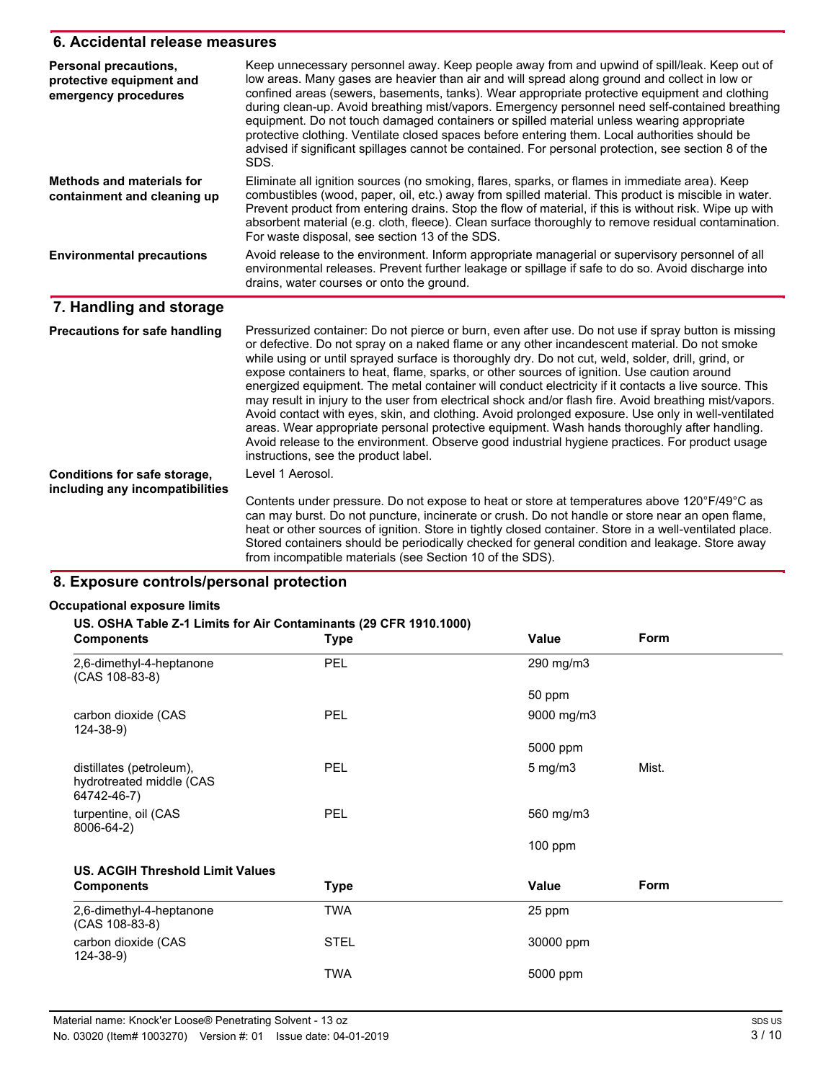## **6. Accidental release measures**

| Personal precautions,<br>protective equipment and<br>emergency procedures | Keep unnecessary personnel away. Keep people away from and upwind of spill/leak. Keep out of<br>low areas. Many gases are heavier than air and will spread along ground and collect in low or<br>confined areas (sewers, basements, tanks). Wear appropriate protective equipment and clothing<br>during clean-up. Avoid breathing mist/vapors. Emergency personnel need self-contained breathing<br>equipment. Do not touch damaged containers or spilled material unless wearing appropriate<br>protective clothing. Ventilate closed spaces before entering them. Local authorities should be<br>advised if significant spillages cannot be contained. For personal protection, see section 8 of the<br>SDS.                                                                                                                                                                                                                                                           |
|---------------------------------------------------------------------------|---------------------------------------------------------------------------------------------------------------------------------------------------------------------------------------------------------------------------------------------------------------------------------------------------------------------------------------------------------------------------------------------------------------------------------------------------------------------------------------------------------------------------------------------------------------------------------------------------------------------------------------------------------------------------------------------------------------------------------------------------------------------------------------------------------------------------------------------------------------------------------------------------------------------------------------------------------------------------|
| <b>Methods and materials for</b><br>containment and cleaning up           | Eliminate all ignition sources (no smoking, flares, sparks, or flames in immediate area). Keep<br>combustibles (wood, paper, oil, etc.) away from spilled material. This product is miscible in water.<br>Prevent product from entering drains. Stop the flow of material, if this is without risk. Wipe up with<br>absorbent material (e.g. cloth, fleece). Clean surface thoroughly to remove residual contamination.<br>For waste disposal, see section 13 of the SDS.                                                                                                                                                                                                                                                                                                                                                                                                                                                                                                 |
| <b>Environmental precautions</b>                                          | Avoid release to the environment. Inform appropriate managerial or supervisory personnel of all<br>environmental releases. Prevent further leakage or spillage if safe to do so. Avoid discharge into<br>drains, water courses or onto the ground.                                                                                                                                                                                                                                                                                                                                                                                                                                                                                                                                                                                                                                                                                                                        |
| 7. Handling and storage                                                   |                                                                                                                                                                                                                                                                                                                                                                                                                                                                                                                                                                                                                                                                                                                                                                                                                                                                                                                                                                           |
| <b>Precautions for safe handling</b>                                      | Pressurized container: Do not pierce or burn, even after use. Do not use if spray button is missing<br>or defective. Do not spray on a naked flame or any other incandescent material. Do not smoke<br>while using or until sprayed surface is thoroughly dry. Do not cut, weld, solder, drill, grind, or<br>expose containers to heat, flame, sparks, or other sources of ignition. Use caution around<br>energized equipment. The metal container will conduct electricity if it contacts a live source. This<br>may result in injury to the user from electrical shock and/or flash fire. Avoid breathing mist/vapors.<br>Avoid contact with eyes, skin, and clothing. Avoid prolonged exposure. Use only in well-ventilated<br>areas. Wear appropriate personal protective equipment. Wash hands thoroughly after handling.<br>Avoid release to the environment. Observe good industrial hygiene practices. For product usage<br>instructions, see the product label. |
| Conditions for safe storage,                                              | Level 1 Aerosol.                                                                                                                                                                                                                                                                                                                                                                                                                                                                                                                                                                                                                                                                                                                                                                                                                                                                                                                                                          |
| including any incompatibilities                                           | Contents under pressure. Do not expose to heat or store at temperatures above 120°F/49°C as<br>can may burst. Do not puncture, incinerate or crush. Do not handle or store near an open flame,<br>heat or other sources of ignition. Store in tightly closed container. Store in a well-ventilated place.<br>Stored containers should be periodically checked for general condition and leakage. Store away<br>from incompatible materials (see Section 10 of the SDS).                                                                                                                                                                                                                                                                                                                                                                                                                                                                                                   |

## **8. Exposure controls/personal protection**

### **Occupational exposure limits**

#### **US. OSEA Table Z-1 Limits for Air Contaminants (29 CFR 1910.1000)**

| <b>Components</b>                                                   | <b>Type</b> | Value            | Form  |
|---------------------------------------------------------------------|-------------|------------------|-------|
| 2,6-dimethyl-4-heptanone<br>(CAS 108-83-8)                          | PEL         | 290 mg/m3        |       |
|                                                                     |             | 50 ppm           |       |
| carbon dioxide (CAS<br>$124 - 38 - 9$                               | <b>PEL</b>  | 9000 mg/m3       |       |
|                                                                     |             | 5000 ppm         |       |
| distillates (petroleum),<br>hydrotreated middle (CAS<br>64742-46-7) | <b>PEL</b>  | $5 \text{ mg/m}$ | Mist. |
| turpentine, oil (CAS<br>8006-64-2)                                  | <b>PEL</b>  | 560 mg/m3        |       |
|                                                                     |             | $100$ ppm        |       |
| <b>US. ACGIH Threshold Limit Values</b>                             |             |                  |       |
| <b>Components</b>                                                   | <b>Type</b> | Value            | Form  |
| 2,6-dimethyl-4-heptanone<br>(CAS 108-83-8)                          | <b>TWA</b>  | 25 ppm           |       |
| carbon dioxide (CAS<br>$124 - 38 - 9$                               | <b>STEL</b> | 30000 ppm        |       |
|                                                                     | <b>TWA</b>  | 5000 ppm         |       |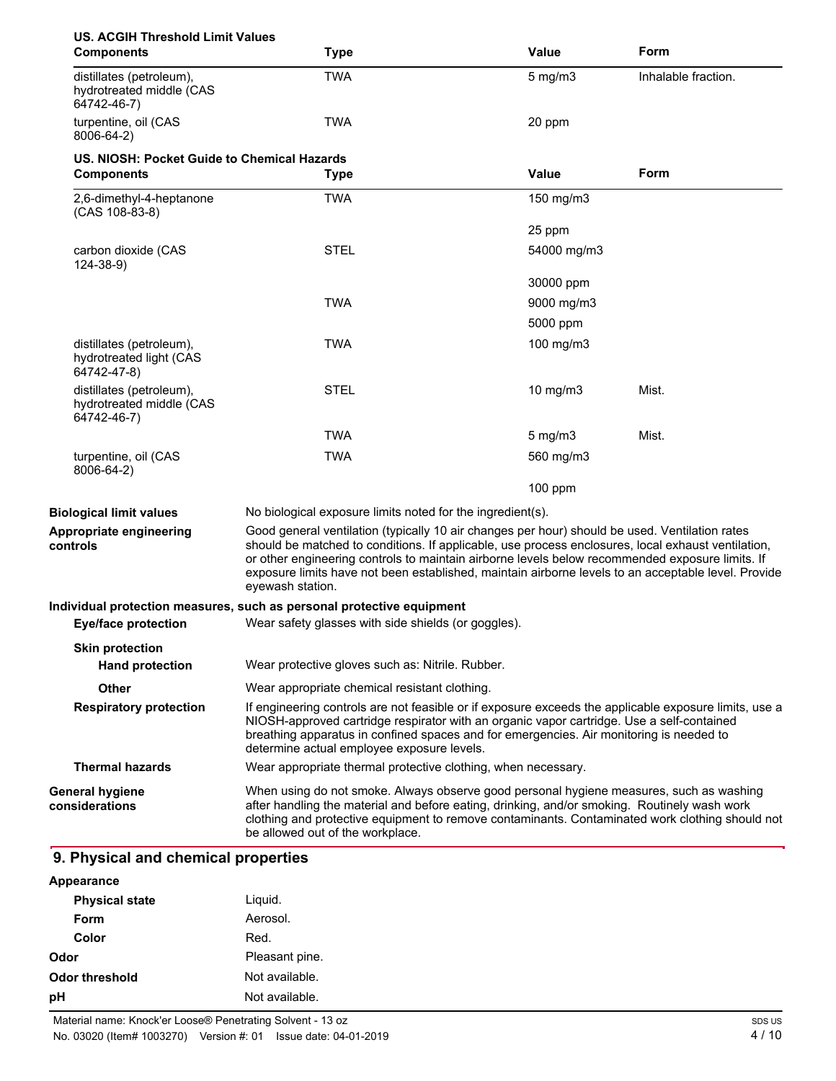| <b>US. ACGIH Threshold Limit Values</b><br><b>Components</b>        | <b>Type</b>                                                                                                                                                                                                                                                                                                                                                                                                                        | Value        | Form                |
|---------------------------------------------------------------------|------------------------------------------------------------------------------------------------------------------------------------------------------------------------------------------------------------------------------------------------------------------------------------------------------------------------------------------------------------------------------------------------------------------------------------|--------------|---------------------|
| distillates (petroleum),<br>hydrotreated middle (CAS<br>64742-46-7) | <b>TWA</b>                                                                                                                                                                                                                                                                                                                                                                                                                         | $5$ mg/m $3$ | Inhalable fraction. |
| turpentine, oil (CAS<br>8006-64-2)                                  | <b>TWA</b>                                                                                                                                                                                                                                                                                                                                                                                                                         | 20 ppm       |                     |
| US. NIOSH: Pocket Guide to Chemical Hazards                         |                                                                                                                                                                                                                                                                                                                                                                                                                                    |              |                     |
| <b>Components</b>                                                   | <b>Type</b>                                                                                                                                                                                                                                                                                                                                                                                                                        | <b>Value</b> | Form                |
| 2,6-dimethyl-4-heptanone<br>$(CAS 108-83-8)$                        | <b>TWA</b>                                                                                                                                                                                                                                                                                                                                                                                                                         | 150 mg/m3    |                     |
|                                                                     |                                                                                                                                                                                                                                                                                                                                                                                                                                    | 25 ppm       |                     |
| carbon dioxide (CAS<br>$124 - 38 - 9$                               | <b>STEL</b>                                                                                                                                                                                                                                                                                                                                                                                                                        | 54000 mg/m3  |                     |
|                                                                     |                                                                                                                                                                                                                                                                                                                                                                                                                                    | 30000 ppm    |                     |
|                                                                     | <b>TWA</b>                                                                                                                                                                                                                                                                                                                                                                                                                         | 9000 mg/m3   |                     |
|                                                                     |                                                                                                                                                                                                                                                                                                                                                                                                                                    | 5000 ppm     |                     |
| distillates (petroleum).<br>hydrotreated light (CAS<br>64742-47-8)  | <b>TWA</b>                                                                                                                                                                                                                                                                                                                                                                                                                         | 100 mg/m3    |                     |
| distillates (petroleum),<br>hydrotreated middle (CAS<br>64742-46-7) | <b>STEL</b>                                                                                                                                                                                                                                                                                                                                                                                                                        | 10 $mg/m3$   | Mist.               |
|                                                                     | <b>TWA</b>                                                                                                                                                                                                                                                                                                                                                                                                                         | $5$ mg/m $3$ | Mist.               |
| turpentine, oil (CAS<br>8006-64-2)                                  | <b>TWA</b>                                                                                                                                                                                                                                                                                                                                                                                                                         | 560 mg/m3    |                     |
|                                                                     |                                                                                                                                                                                                                                                                                                                                                                                                                                    | $100$ ppm    |                     |
| <b>Biological limit values</b>                                      | No biological exposure limits noted for the ingredient(s).                                                                                                                                                                                                                                                                                                                                                                         |              |                     |
| Appropriate engineering<br>controls                                 | Good general ventilation (typically 10 air changes per hour) should be used. Ventilation rates<br>should be matched to conditions. If applicable, use process enclosures, local exhaust ventilation,<br>or other engineering controls to maintain airborne levels below recommended exposure limits. If<br>exposure limits have not been established, maintain airborne levels to an acceptable level. Provide<br>eyewash station. |              |                     |
|                                                                     | Individual protection measures, such as personal protective equipment                                                                                                                                                                                                                                                                                                                                                              |              |                     |
| <b>Eye/face protection</b>                                          | Wear safety glasses with side shields (or goggles).                                                                                                                                                                                                                                                                                                                                                                                |              |                     |
| <b>Skin protection</b>                                              |                                                                                                                                                                                                                                                                                                                                                                                                                                    |              |                     |
| <b>Hand protection</b>                                              | Wear protective gloves such as: Nitrile. Rubber.                                                                                                                                                                                                                                                                                                                                                                                   |              |                     |
| <b>Other</b>                                                        | Wear appropriate chemical resistant clothing.                                                                                                                                                                                                                                                                                                                                                                                      |              |                     |
| <b>Respiratory protection</b>                                       | If engineering controls are not feasible or if exposure exceeds the applicable exposure limits, use a<br>NIOSH-approved cartridge respirator with an organic vapor cartridge. Use a self-contained<br>breathing apparatus in confined spaces and for emergencies. Air monitoring is needed to<br>determine actual employee exposure levels.                                                                                        |              |                     |
| <b>Thermal hazards</b>                                              | Wear appropriate thermal protective clothing, when necessary.                                                                                                                                                                                                                                                                                                                                                                      |              |                     |
| <b>General hygiene</b><br>considerations                            | When using do not smoke. Always observe good personal hygiene measures, such as washing<br>after handling the material and before eating, drinking, and/or smoking. Routinely wash work<br>clothing and protective equipment to remove contaminants. Contaminated work clothing should not<br>be allowed out of the workplace.                                                                                                     |              |                     |

| <b>Physical state</b> | Liquid.        |
|-----------------------|----------------|
| Form                  | Aerosol.       |
| Color                 | Red.           |
| Odor                  | Pleasant pine. |
| <b>Odor threshold</b> | Not available. |
| pH                    | Not available. |
|                       |                |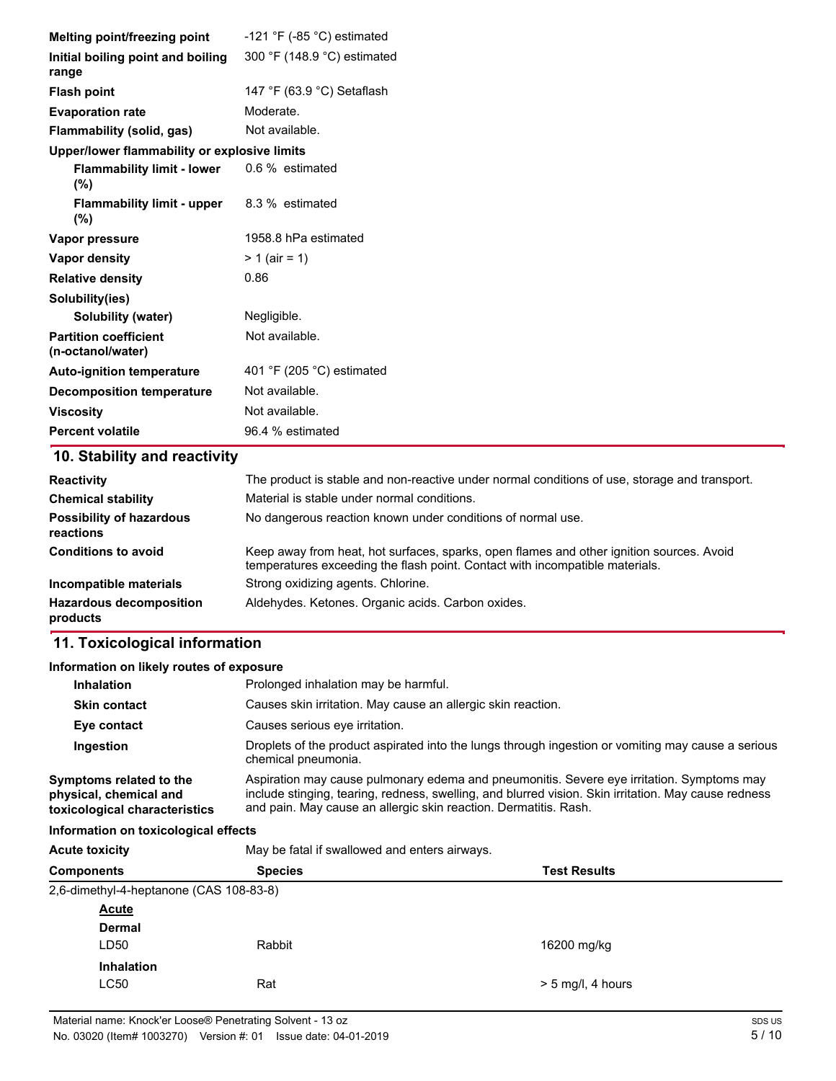| Melting point/freezing point                      | -121 $\degree$ F (-85 $\degree$ C) estimated                                                                                                                             |
|---------------------------------------------------|--------------------------------------------------------------------------------------------------------------------------------------------------------------------------|
| Initial boiling point and boiling                 | 300 °F (148.9 °C) estimated                                                                                                                                              |
| range                                             |                                                                                                                                                                          |
| <b>Flash point</b>                                | 147 °F (63.9 °C) Setaflash                                                                                                                                               |
| <b>Evaporation rate</b>                           | Moderate.                                                                                                                                                                |
| Flammability (solid, gas)                         | Not available.                                                                                                                                                           |
| Upper/lower flammability or explosive limits      |                                                                                                                                                                          |
| <b>Flammability limit - lower</b><br>(%)          | 0.6 % estimated                                                                                                                                                          |
| <b>Flammability limit - upper</b><br>$(\% )$      | 8.3 % estimated                                                                                                                                                          |
| Vapor pressure                                    | 1958.8 hPa estimated                                                                                                                                                     |
| <b>Vapor density</b>                              | $> 1$ (air = 1)                                                                                                                                                          |
| <b>Relative density</b>                           | 0.86                                                                                                                                                                     |
| Solubility(ies)                                   |                                                                                                                                                                          |
| Solubility (water)                                | Negligible.                                                                                                                                                              |
| <b>Partition coefficient</b><br>(n-octanol/water) | Not available.                                                                                                                                                           |
| <b>Auto-ignition temperature</b>                  | 401 °F (205 °C) estimated                                                                                                                                                |
| <b>Decomposition temperature</b>                  | Not available.                                                                                                                                                           |
| <b>Viscosity</b>                                  | Not available.                                                                                                                                                           |
| <b>Percent volatile</b>                           | 96.4 % estimated                                                                                                                                                         |
| 10. Stability and reactivity                      |                                                                                                                                                                          |
| <b>Reactivity</b>                                 | The product is stable and non-reactive under normal conditions of use, storage and transport.                                                                            |
| <b>Chemical stability</b>                         | Material is stable under normal conditions.                                                                                                                              |
| <b>Possibility of hazardous</b><br>reactions      | No dangerous reaction known under conditions of normal use.                                                                                                              |
| <b>Conditions to avoid</b>                        | Keep away from heat, hot surfaces, sparks, open flames and other ignition sources. Avoid<br>temperatures exceeding the flash point. Contact with incompatible materials. |
| Incompatible materials                            | Strong oxidizing agents. Chlorine.                                                                                                                                       |
| <b>Hazardous decomposition</b><br>products        | Aldehydes. Ketones. Organic acids. Carbon oxides.                                                                                                                        |

### **Information on likely routes of exposure**

| <b>Inhalation</b>                                                                  | Prolonged inhalation may be harmful.                                                                                                                                                                                                                                  |
|------------------------------------------------------------------------------------|-----------------------------------------------------------------------------------------------------------------------------------------------------------------------------------------------------------------------------------------------------------------------|
| <b>Skin contact</b>                                                                | Causes skin irritation. May cause an allergic skin reaction.                                                                                                                                                                                                          |
| Eye contact                                                                        | Causes serious eye irritation.                                                                                                                                                                                                                                        |
| Ingestion                                                                          | Droplets of the product aspirated into the lungs through ingestion or vomiting may cause a serious<br>chemical pneumonia.                                                                                                                                             |
| Symptoms related to the<br>physical, chemical and<br>toxicological characteristics | Aspiration may cause pulmonary edema and pneumonitis. Severe eye irritation. Symptoms may<br>include stinging, tearing, redness, swelling, and blurred vision. Skin irritation. May cause redness<br>and pain. May cause an allergic skin reaction. Dermatitis. Rash. |
|                                                                                    |                                                                                                                                                                                                                                                                       |

### **Information on toxicological effects**

Acute toxicity **May be fatal if swallowed and enters airways.** 

| <b>Components</b> | <b>Species</b>                          | <b>Test Results</b> |  |
|-------------------|-----------------------------------------|---------------------|--|
|                   | 2,6-dimethyl-4-heptanone (CAS 108-83-8) |                     |  |
| <b>Acute</b>      |                                         |                     |  |
| <b>Dermal</b>     |                                         |                     |  |
| LD50              | Rabbit                                  | 16200 mg/kg         |  |
| <b>Inhalation</b> |                                         |                     |  |
| <b>LC50</b>       | Rat                                     | $> 5$ mg/l, 4 hours |  |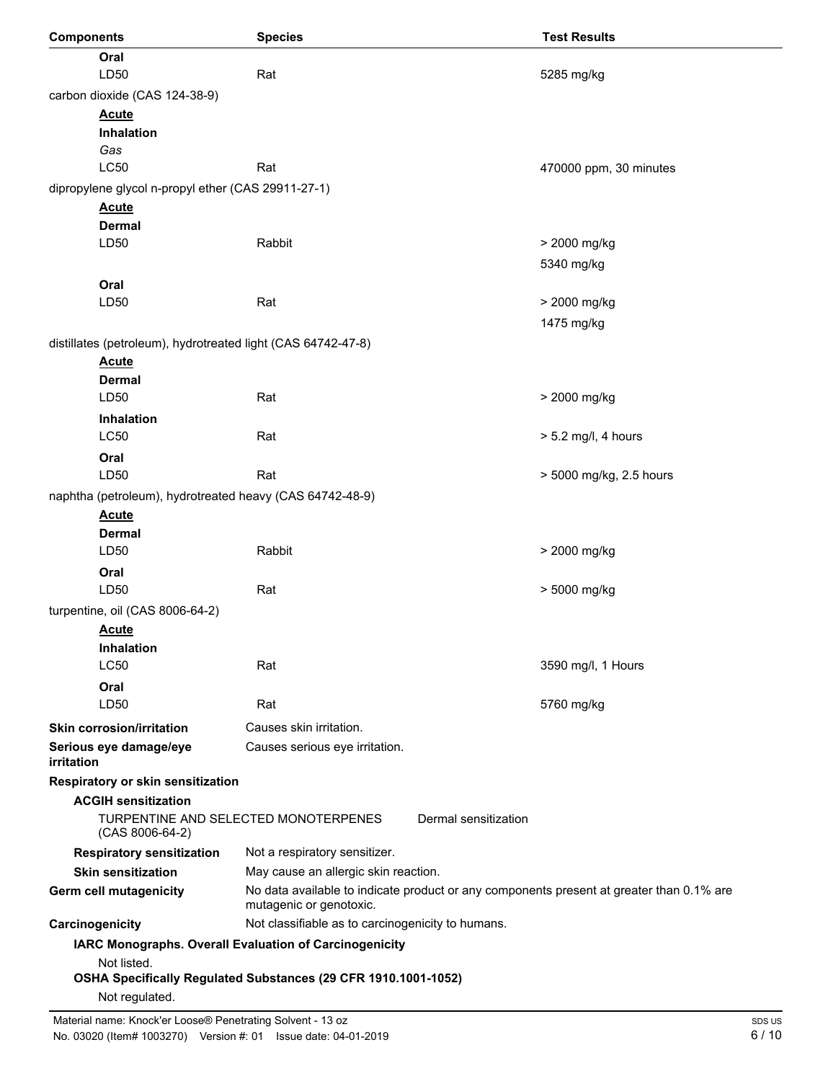| <b>Components</b>                                            | <b>Species</b>                                                                                                      | <b>Test Results</b>     |
|--------------------------------------------------------------|---------------------------------------------------------------------------------------------------------------------|-------------------------|
| Oral                                                         |                                                                                                                     |                         |
| LD50                                                         | Rat                                                                                                                 | 5285 mg/kg              |
| carbon dioxide (CAS 124-38-9)                                |                                                                                                                     |                         |
| <b>Acute</b>                                                 |                                                                                                                     |                         |
| Inhalation                                                   |                                                                                                                     |                         |
| Gas                                                          |                                                                                                                     |                         |
| <b>LC50</b>                                                  | Rat                                                                                                                 | 470000 ppm, 30 minutes  |
| dipropylene glycol n-propyl ether (CAS 29911-27-1)           |                                                                                                                     |                         |
| <b>Acute</b>                                                 |                                                                                                                     |                         |
| <b>Dermal</b>                                                |                                                                                                                     |                         |
| LD50                                                         | Rabbit                                                                                                              | > 2000 mg/kg            |
|                                                              |                                                                                                                     | 5340 mg/kg              |
| Oral                                                         |                                                                                                                     |                         |
| LD50                                                         | Rat                                                                                                                 | > 2000 mg/kg            |
|                                                              |                                                                                                                     | 1475 mg/kg              |
| distillates (petroleum), hydrotreated light (CAS 64742-47-8) |                                                                                                                     |                         |
| <b>Acute</b>                                                 |                                                                                                                     |                         |
| <b>Dermal</b>                                                |                                                                                                                     |                         |
| LD50                                                         | Rat                                                                                                                 | > 2000 mg/kg            |
| <b>Inhalation</b><br><b>LC50</b>                             | Rat                                                                                                                 |                         |
|                                                              |                                                                                                                     | $> 5.2$ mg/l, 4 hours   |
| Oral<br>LD50                                                 | Rat                                                                                                                 |                         |
|                                                              |                                                                                                                     | > 5000 mg/kg, 2.5 hours |
| naphtha (petroleum), hydrotreated heavy (CAS 64742-48-9)     |                                                                                                                     |                         |
| <b>Acute</b><br><b>Dermal</b>                                |                                                                                                                     |                         |
| LD50                                                         | Rabbit                                                                                                              | > 2000 mg/kg            |
| Oral                                                         |                                                                                                                     |                         |
| LD50                                                         | Rat                                                                                                                 | > 5000 mg/kg            |
| turpentine, oil (CAS 8006-64-2)                              |                                                                                                                     |                         |
| <b>Acute</b>                                                 |                                                                                                                     |                         |
| Inhalation                                                   |                                                                                                                     |                         |
| <b>LC50</b>                                                  | Rat                                                                                                                 | 3590 mg/l, 1 Hours      |
| Oral                                                         |                                                                                                                     |                         |
| LD50                                                         | Rat                                                                                                                 | 5760 mg/kg              |
| Skin corrosion/irritation                                    | Causes skin irritation.                                                                                             |                         |
| Serious eye damage/eye                                       | Causes serious eye irritation.                                                                                      |                         |
| <i>irritation</i>                                            |                                                                                                                     |                         |
| Respiratory or skin sensitization                            |                                                                                                                     |                         |
| <b>ACGIH sensitization</b>                                   |                                                                                                                     |                         |
| (CAS 8006-64-2)                                              | TURPENTINE AND SELECTED MONOTERPENES<br>Dermal sensitization                                                        |                         |
| <b>Respiratory sensitization</b>                             | Not a respiratory sensitizer.                                                                                       |                         |
| <b>Skin sensitization</b>                                    | May cause an allergic skin reaction.                                                                                |                         |
| Germ cell mutagenicity                                       | No data available to indicate product or any components present at greater than 0.1% are<br>mutagenic or genotoxic. |                         |
| Carcinogenicity                                              | Not classifiable as to carcinogenicity to humans.                                                                   |                         |
|                                                              | IARC Monographs. Overall Evaluation of Carcinogenicity                                                              |                         |
| Not listed.                                                  |                                                                                                                     |                         |
| Not regulated.                                               | OSHA Specifically Regulated Substances (29 CFR 1910.1001-1052)                                                      |                         |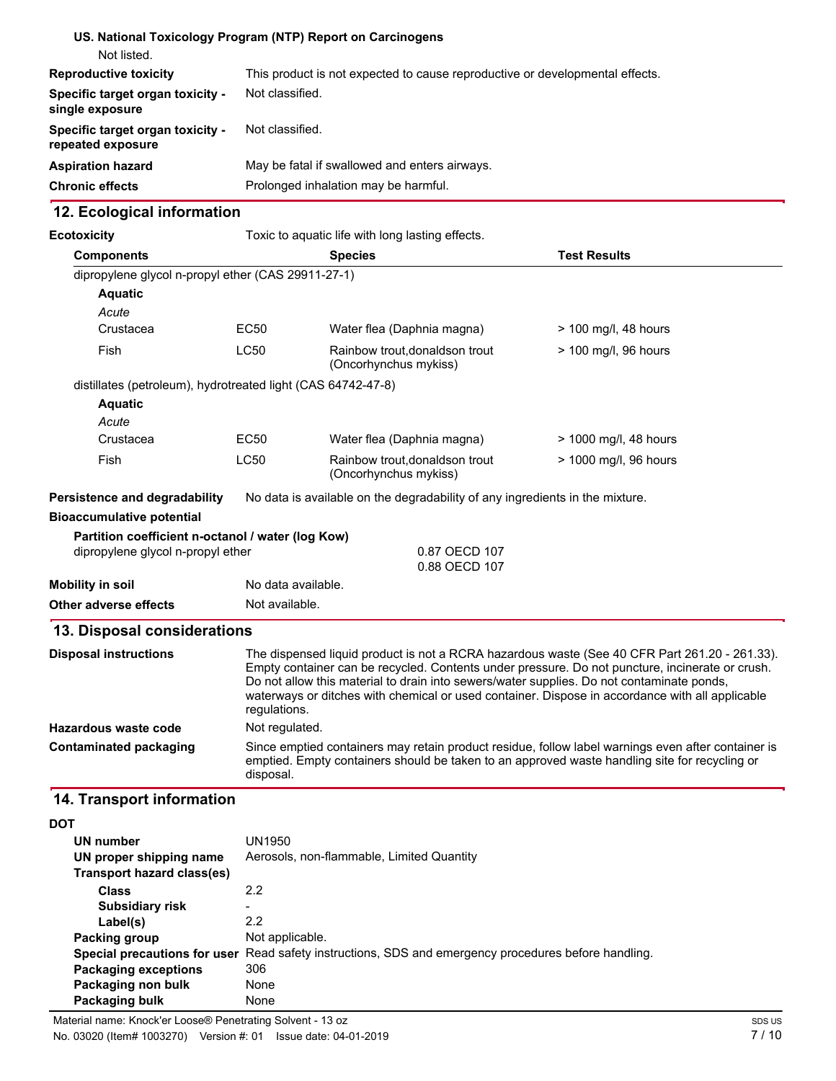|                                                              | US. National Toxicology Program (NTP) Report on Carcinogens                  |
|--------------------------------------------------------------|------------------------------------------------------------------------------|
| Not listed.                                                  |                                                                              |
| <b>Reproductive toxicity</b>                                 | This product is not expected to cause reproductive or developmental effects. |
| <b>Specific target organ toxicity -</b><br>single exposure   | Not classified.                                                              |
| <b>Specific target organ toxicity -</b><br>repeated exposure | Not classified.                                                              |
| Aspiration hazard                                            | May be fatal if swallowed and enters airways.                                |
| <b>Chronic effects</b>                                       | Prolonged inhalation may be harmful.                                         |
|                                                              |                                                                              |

## **12. Ecological information**

| <b>Ecotoxicity</b>                                           | Toxic to aquatic life with long lasting effects. |                                                                                                                                                                                                                                                                                                                                                                                                                  |                       |  |
|--------------------------------------------------------------|--------------------------------------------------|------------------------------------------------------------------------------------------------------------------------------------------------------------------------------------------------------------------------------------------------------------------------------------------------------------------------------------------------------------------------------------------------------------------|-----------------------|--|
| <b>Components</b>                                            |                                                  | <b>Test Results</b><br><b>Species</b>                                                                                                                                                                                                                                                                                                                                                                            |                       |  |
| dipropylene glycol n-propyl ether (CAS 29911-27-1)           |                                                  |                                                                                                                                                                                                                                                                                                                                                                                                                  |                       |  |
| <b>Aquatic</b>                                               |                                                  |                                                                                                                                                                                                                                                                                                                                                                                                                  |                       |  |
| Acute                                                        |                                                  |                                                                                                                                                                                                                                                                                                                                                                                                                  |                       |  |
| Crustacea                                                    | <b>EC50</b>                                      | Water flea (Daphnia magna)                                                                                                                                                                                                                                                                                                                                                                                       | > 100 mg/l, 48 hours  |  |
| <b>Fish</b>                                                  | <b>LC50</b>                                      | Rainbow trout, donaldson trout<br>(Oncorhynchus mykiss)                                                                                                                                                                                                                                                                                                                                                          | > 100 mg/l, 96 hours  |  |
| distillates (petroleum), hydrotreated light (CAS 64742-47-8) |                                                  |                                                                                                                                                                                                                                                                                                                                                                                                                  |                       |  |
| <b>Aquatic</b>                                               |                                                  |                                                                                                                                                                                                                                                                                                                                                                                                                  |                       |  |
| Acute                                                        |                                                  |                                                                                                                                                                                                                                                                                                                                                                                                                  |                       |  |
| Crustacea                                                    | <b>EC50</b>                                      | Water flea (Daphnia magna)                                                                                                                                                                                                                                                                                                                                                                                       | > 1000 mg/l, 48 hours |  |
| Fish                                                         | <b>LC50</b>                                      | Rainbow trout, donaldson trout<br>(Oncorhynchus mykiss)                                                                                                                                                                                                                                                                                                                                                          | > 1000 mg/l, 96 hours |  |
| <b>Persistence and degradability</b>                         |                                                  | No data is available on the degradability of any ingredients in the mixture.                                                                                                                                                                                                                                                                                                                                     |                       |  |
| <b>Bioaccumulative potential</b>                             |                                                  |                                                                                                                                                                                                                                                                                                                                                                                                                  |                       |  |
| Partition coefficient n-octanol / water (log Kow)            |                                                  |                                                                                                                                                                                                                                                                                                                                                                                                                  |                       |  |
| dipropylene glycol n-propyl ether                            |                                                  | 0.87 OECD 107<br>0.88 OECD 107                                                                                                                                                                                                                                                                                                                                                                                   |                       |  |
| <b>Mobility in soil</b>                                      |                                                  | No data available.                                                                                                                                                                                                                                                                                                                                                                                               |                       |  |
| Other adverse effects                                        |                                                  | Not available.                                                                                                                                                                                                                                                                                                                                                                                                   |                       |  |
| 13. Disposal considerations                                  |                                                  |                                                                                                                                                                                                                                                                                                                                                                                                                  |                       |  |
| <b>Disposal instructions</b>                                 |                                                  | The dispensed liquid product is not a RCRA hazardous waste (See 40 CFR Part 261.20 - 261.33).<br>Empty container can be recycled. Contents under pressure. Do not puncture, incinerate or crush.<br>Do not allow this material to drain into sewers/water supplies. Do not contaminate ponds,<br>waterways or ditches with chemical or used container. Dispose in accordance with all applicable<br>regulations. |                       |  |
| Hazardous waste code                                         |                                                  | Not regulated.                                                                                                                                                                                                                                                                                                                                                                                                   |                       |  |
| <b>Contaminated packaging</b>                                | disposal.                                        | Since emptied containers may retain product residue, follow label warnings even after container is<br>emptied. Empty containers should be taken to an approved waste handling site for recycling or                                                                                                                                                                                                              |                       |  |
| 14. Transport information                                    |                                                  |                                                                                                                                                                                                                                                                                                                                                                                                                  |                       |  |
|                                                              |                                                  |                                                                                                                                                                                                                                                                                                                                                                                                                  |                       |  |

| ັ                            |                                                                         |
|------------------------------|-------------------------------------------------------------------------|
| UN number                    | UN1950                                                                  |
| UN proper shipping name      | Aerosols, non-flammable, Limited Quantity                               |
| Transport hazard class(es)   |                                                                         |
| <b>Class</b>                 | 2.2                                                                     |
| <b>Subsidiary risk</b>       |                                                                         |
| Label(s)                     | 2.2                                                                     |
| <b>Packing group</b>         | Not applicable.                                                         |
| Special precautions for user | Read safety instructions, SDS and emergency procedures before handling. |
| <b>Packaging exceptions</b>  | 306                                                                     |
| Packaging non bulk           | None                                                                    |
| Packaging bulk               | None                                                                    |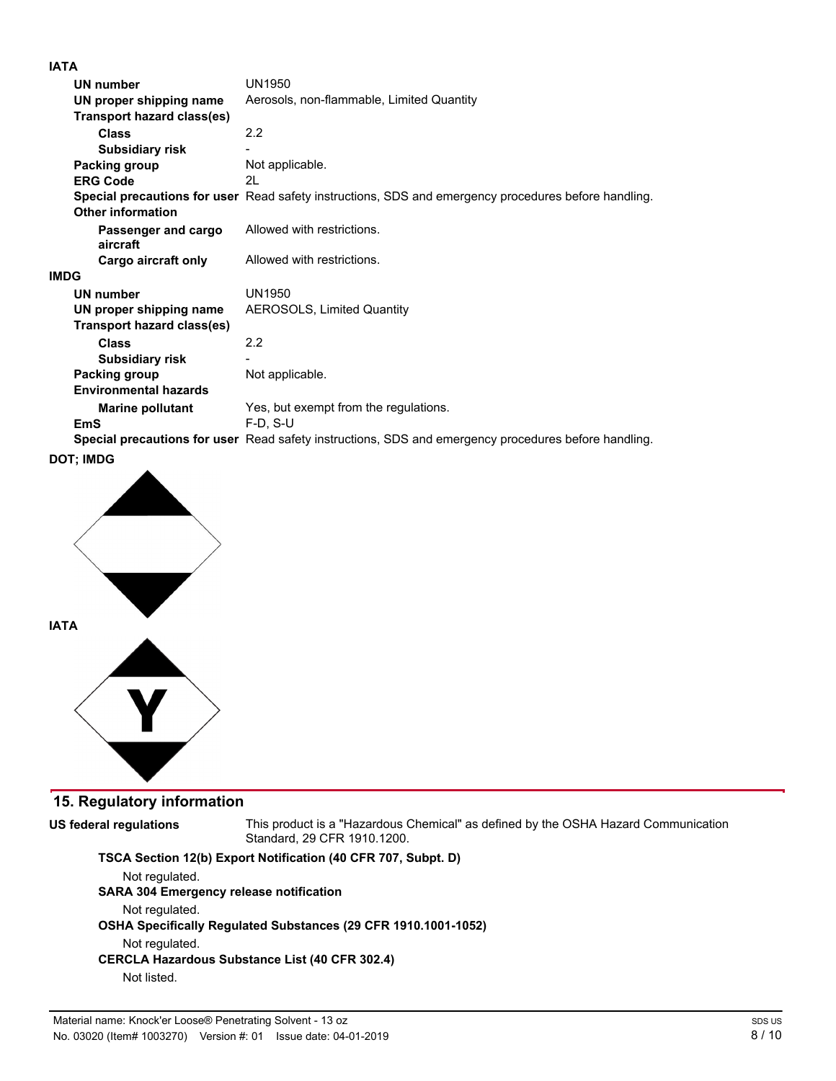## **IATA**

|             | UN number                       | UN1950                                                                                               |
|-------------|---------------------------------|------------------------------------------------------------------------------------------------------|
|             | UN proper shipping name         | Aerosols, non-flammable, Limited Quantity                                                            |
|             | Transport hazard class(es)      |                                                                                                      |
|             | Class                           | 2.2                                                                                                  |
|             | <b>Subsidiary risk</b>          |                                                                                                      |
|             | Packing group                   | Not applicable.                                                                                      |
|             | <b>ERG Code</b>                 | 21                                                                                                   |
|             | <b>Other information</b>        | Special precautions for user Read safety instructions, SDS and emergency procedures before handling. |
|             | Passenger and cargo<br>aircraft | Allowed with restrictions.                                                                           |
|             | Cargo aircraft only             | Allowed with restrictions.                                                                           |
| <b>IMDG</b> |                                 |                                                                                                      |
|             | <b>UN number</b>                | UN1950                                                                                               |
|             | UN proper shipping name         | <b>AEROSOLS, Limited Quantity</b>                                                                    |
|             | Transport hazard class(es)      |                                                                                                      |
|             | Class                           | 2.2                                                                                                  |
|             | <b>Subsidiary risk</b>          |                                                                                                      |
|             | Packing group                   | Not applicable.                                                                                      |
|             | <b>Environmental hazards</b>    |                                                                                                      |
|             | <b>Marine pollutant</b>         | Yes, but exempt from the regulations.                                                                |
|             | EmS                             | $F-D$ , $S-U$                                                                                        |
|             |                                 | Special precautions for user Read safety instructions, SDS and emergency procedures before handling. |
|             |                                 |                                                                                                      |





## **15. Regulatory information**

**US federal regulations**

This product is a "Hazardous Chemical" as defined by the OSHA Hazard Communication Standard, 29 CFR 1910.1200.

## **TSCA Section 12(b) Export Notification (40 CFR 707, Subpt. D)**

Not regulated.

## **SARA 304 Emergency release notification**

Not regulated.

## **OSEA Specifically Regulated Substances (29 CFR 1910.1001-1052)**

Not regulated.

## **CERCLA Eazardous Substance List (40 CFR 302.4)**

Not listed.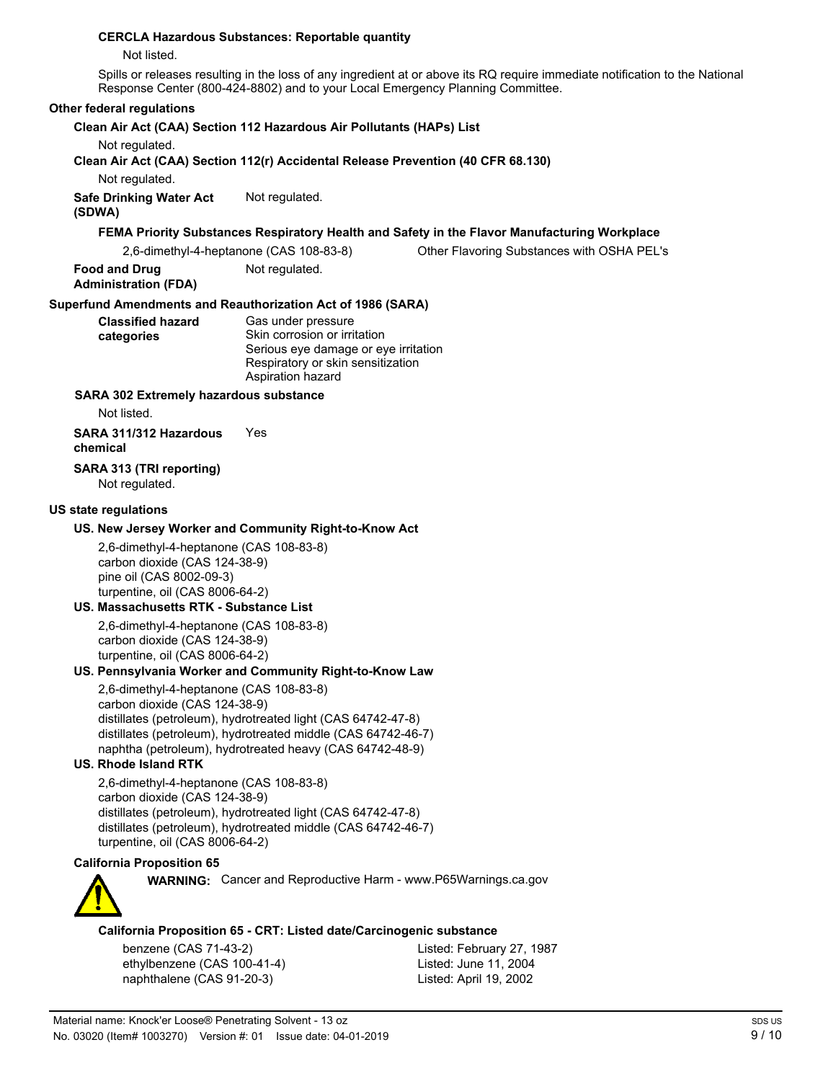#### **CERCLA Eazardous Substances: Reportable quantity**

Not listed.

Spills or releases resulting in the loss of any ingredient at or above its RQ require immediate notification to the National Response Center (800-424-8802) and to your Local Emergency Planning Committee.

#### **Other federal regulations**

#### **Clean Air Act (CAA) Section 112 Hazardous Air Pollutants (HAPs) List**

Not regulated.

**Clean Air Act (CAA) Section 112(r) Accidental Release Prevention (40 CFR 68.130)**

Not regulated.

**Safe Drinking Water Act** Not regulated.

# **(SDWA)**

### FEMA Priority Substances Respiratory Health and Safety in the Flavor Manufacturing Workplace

| 2,6-dimethyl-4-heptanone (CAS 108-83-8) | Other Flavoring Substances with OSHA PEL's |
|-----------------------------------------|--------------------------------------------|
|-----------------------------------------|--------------------------------------------|

**Food and Drug** Not regulated. **Administration (FDA)**

## **Superfund Amendments and Reauthorization Act of 1986 (SARA)**

| <b>Classified hazard</b> | Gas under pressure                   |
|--------------------------|--------------------------------------|
| categories               | Skin corrosion or irritation         |
|                          | Serious eye damage or eye irritation |
|                          | Respiratory or skin sensitization    |
|                          | Aspiration hazard                    |

#### **SARA 302 Extremely hazardous substance**

Not listed.

### **SARA 311/312 Eazardous** Yes **chemical**

#### **SARA 313 (TRI reporting)** Not regulated.

#### **US state regulations**

#### **US. New Jersey Worker and Community Right-to-Know Act**

2,6-dimethyl-4-heptanone (CAS 108-83-8) carbon dioxide (CAS 124-38-9) pine oil (CAS 8002-09-3) turpentine, oil (CAS 8006-64-2)

## **US. Massachusetts RTK - Substance List**

2,6-dimethyl-4-heptanone (CAS 108-83-8) carbon dioxide (CAS 124-38-9) turpentine, oil (CAS 8006-64-2)

#### **US. Pennsylvania Worker and Community Right-to-Know Law**

2,6-dimethyl-4-heptanone (CAS 108-83-8) carbon dioxide (CAS 124-38-9) distillates (petroleum), hydrotreated light (CAS 64742-47-8) distillates (petroleum), hydrotreated middle (CAS 64742-46-7) naphtha (petroleum), hydrotreated heavy (CAS 64742-48-9)

### **US. Rhode Island RTK**

2,6-dimethyl-4-heptanone (CAS 108-83-8) carbon dioxide (CAS 124-38-9) distillates (petroleum), hydrotreated light (CAS 64742-47-8) distillates (petroleum), hydrotreated middle (CAS 64742-46-7) turpentine, oil (CAS 8006-64-2)

#### **California Proposition 65**



**WARNING:** Cancer and Reproductive Harm - www.P65Warnings.ca.gov

#### **California Proposition 65 - CRT: Listed date/Carcinogenic substance**

benzene (CAS 71-43-2) Listed: February 27, 1987 ethylbenzene (CAS 100-41-4) Listed: June 11, 2004 naphthalene (CAS 91-20-3) Listed: April 19, 2002